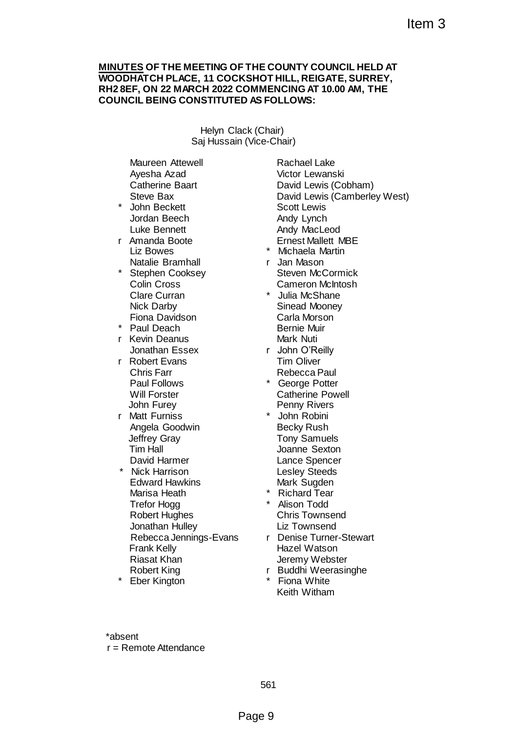#### **MINUTES OF THE MEETING OF THE COUNTY COUNCIL HELD AT WOODHATCH PLACE, 11 COCKSHOT HILL, REIGATE, SURREY, RH2 8EF, ON 22 MARCH 2022 COMMENCING AT 10.00 AM, THE COUNCIL BEING CONSTITUTED AS FOLLOWS:**

Helyn Clack (Chair) Saj Hussain (Vice-Chair)

Maureen Attewell Ayesha Azad Catherine Baart Steve Bax

- John Beckett Jordan Beech Luke Bennett
- r Amanda Boote Liz Bowes Natalie Bramhall
- \* Stephen Cooksey Colin Cross Clare Curran Nick Darby Fiona Davidson
- Paul Deach
- r Kevin Deanus Jonathan Essex
- r Robert Evans Chris Farr Paul Follows Will Forster John Furey
- r Matt Furniss Angela Goodwin Jeffrey Gray Tim Hall David Harmer
- \* Nick Harrison Edward Hawkins Marisa Heath Trefor Hogg Robert Hughes Jonathan Hulley Rebecca Jennings-Evans Frank Kelly Riasat Khan Robert King

**Eber Kington** 

Rachael Lake Victor Lewanski David Lewis (Cobham) David Lewis (Camberley West) Scott Lewis Andy Lynch Andy MacLeod Ernest Mallett MBE Item 3<br>
FTHE COUNTY COUNCIL HELD AT<br>
KSHOT HILL, REIGATE, SURREY,<br>
CD AS FOLLOWS:<br>
ECO AS FOLLOWS:<br>
Rachael Lake<br>
Water Lewanski<br>
David Lewis (Cohneney West)<br>
Social Lake<br>
Watched Mage (Scohnen)<br>
Andy MacLeed<br>
Andy MacLeed

- Michaela Martin
- r Jan Mason Steven McCormick Cameron McIntosh
- \* Julia McShane Sinead Mooney Carla Morson Bernie Muir Mark Nuti
- r John O'Reilly Tim Oliver Rebecca Paul
- \* George Potter Catherine Powell Penny Rivers
- \* John Robini Becky Rush Tony Samuels Joanne Sexton Lance Spencer Lesley Steeds Mark Sugden
- \* Richard Tear
- \* Alison Todd Chris Townsend Liz Townsend
- r Denise Turner-Stewart Hazel Watson Jeremy Webster
- r Buddhi Weerasinghe
- **Fiona White** Keith Witham

\*absent r = Remote Attendance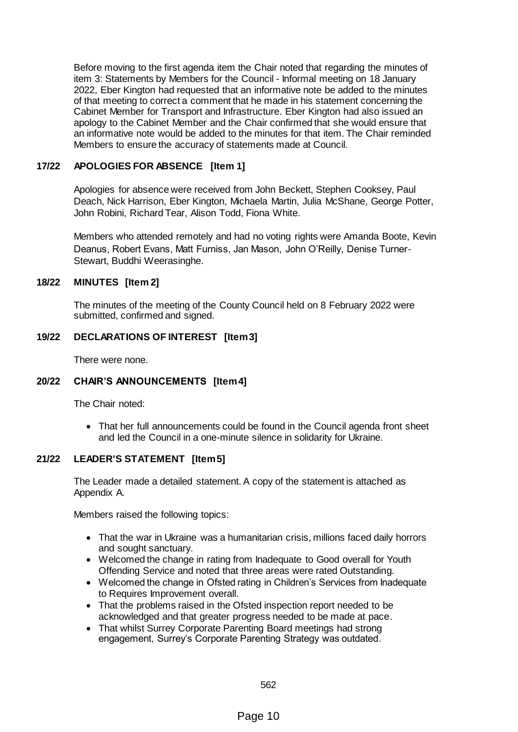Before moving to the first agenda item the Chair noted that regarding the minutes of item 3: Statements by Members for the Council - Informal meeting on 18 January 2022, Eber Kington had requested that an informative note be added to the minutes of that meeting to correct a comment that he made in his statement concerning the Cabinet Member for Transport and Infrastructure. Eber Kington had also issued an apology to the Cabinet Member and the Chair confirmed that she would ensure that an informative note would be added to the minutes for that item. The Chair reminded Members to ensure the accuracy of statements made at Council.

## **17/22 APOLOGIES FOR ABSENCE [Item 1]**

Apologies for absence were received from John Beckett, Stephen Cooksey, Paul Deach, Nick Harrison, Eber Kington, Michaela Martin, Julia McShane, George Potter, John Robini, Richard Tear, Alison Todd, Fiona White.

Members who attended remotely and had no voting rights were Amanda Boote, Kevin Deanus, Robert Evans, Matt Furniss, Jan Mason, John O'Reilly, Denise Turner-Stewart, Buddhi Weerasinghe.

## **18/22 MINUTES [Item 2]**

The minutes of the meeting of the County Council held on 8 February 2022 were submitted, confirmed and signed.

#### **19/22 DECLARATIONS OF INTEREST [Item 3]**

There were none.

#### **20/22 CHAIR'S ANNOUNCEMENTS [Item 4]**

The Chair noted:

 That her full announcements could be found in the Council agenda front sheet and led the Council in a one-minute silence in solidarity for Ukraine.

#### **21/22 LEADER'S STATEMENT [Item 5]**

The Leader made a detailed statement. A copy of the statement is attached as Appendix A.

Members raised the following topics:

- That the war in Ukraine was a humanitarian crisis, millions faced daily horrors and sought sanctuary.
- Welcomed the change in rating from Inadequate to Good overall for Youth Offending Service and noted that three areas were rated Outstanding.
- Welcomed the change in Ofsted rating in Children's Services from Inadequate to Requires Improvement overall.
- That the problems raised in the Ofsted inspection report needed to be acknowledged and that greater progress needed to be made at pace.
- That whilst Surrey Corporate Parenting Board meetings had strong engagement, Surrey's Corporate Parenting Strategy was outdated.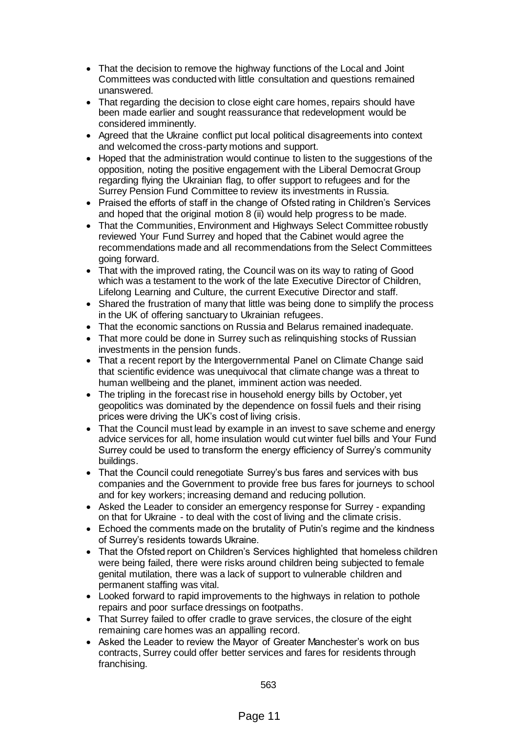- That the decision to remove the highway functions of the Local and Joint Committees was conducted with little consultation and questions remained unanswered.
- That regarding the decision to close eight care homes, repairs should have been made earlier and sought reassurance that redevelopment would be considered imminently.
- Agreed that the Ukraine conflict put local political disagreements into context and welcomed the cross-party motions and support.
- Hoped that the administration would continue to listen to the suggestions of the opposition, noting the positive engagement with the Liberal Democrat Group regarding flying the Ukrainian flag, to offer support to refugees and for the Surrey Pension Fund Committee to review its investments in Russia.
- Praised the efforts of staff in the change of Ofsted rating in Children's Services and hoped that the original motion 8 (ii) would help progress to be made.
- That the Communities, Environment and Highways Select Committee robustly reviewed Your Fund Surrey and hoped that the Cabinet would agree the recommendations made and all recommendations from the Select Committees going forward.
- That with the improved rating, the Council was on its way to rating of Good which was a testament to the work of the late Executive Director of Children, Lifelong Learning and Culture, the current Executive Director and staff.
- Shared the frustration of many that little was being done to simplify the process in the UK of offering sanctuary to Ukrainian refugees.
- That the economic sanctions on Russia and Belarus remained inadequate.
- That more could be done in Surrey such as relinquishing stocks of Russian investments in the pension funds.
- That a recent report by the Intergovernmental Panel on Climate Change said that scientific evidence was unequivocal that climate change was a threat to human wellbeing and the planet, imminent action was needed.
- The tripling in the forecast rise in household energy bills by October, yet geopolitics was dominated by the dependence on fossil fuels and their rising prices were driving the UK's cost of living crisis.
- That the Council must lead by example in an invest to save scheme and energy advice services for all, home insulation would cut winter fuel bills and Your Fund Surrey could be used to transform the energy efficiency of Surrey's community buildings.
- That the Council could renegotiate Surrey's bus fares and services with bus companies and the Government to provide free bus fares for journeys to school and for key workers; increasing demand and reducing pollution.
- Asked the Leader to consider an emergency response for Surrey expanding on that for Ukraine - to deal with the cost of living and the climate crisis.
- Echoed the comments made on the brutality of Putin's regime and the kindness of Surrey's residents towards Ukraine.
- That the Ofsted report on Children's Services highlighted that homeless children were being failed, there were risks around children being subjected to female genital mutilation, there was a lack of support to vulnerable children and permanent staffing was vital.
- Looked forward to rapid improvements to the highways in relation to pothole repairs and poor surface dressings on footpaths.
- That Surrey failed to offer cradle to grave services, the closure of the eight remaining care homes was an appalling record.
- Asked the Leader to review the Mayor of Greater Manchester's work on bus contracts, Surrey could offer better services and fares for residents through franchising.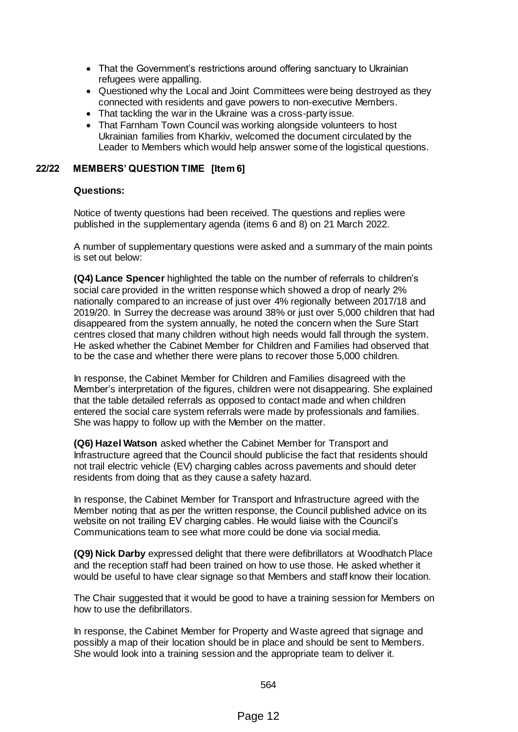- That the Government's restrictions around offering sanctuary to Ukrainian refugees were appalling.
- Questioned why the Local and Joint Committees were being destroyed as they connected with residents and gave powers to non-executive Members.
- That tackling the war in the Ukraine was a cross-party issue.
- That Farnham Town Council was working alongside volunteers to host Ukrainian families from Kharkiv, welcomed the document circulated by the Leader to Members which would help answer some of the logistical questions.

## **22/22 MEMBERS' QUESTION TIME [Item 6]**

#### **Questions:**

Notice of twenty questions had been received. The questions and replies were published in the supplementary agenda (items 6 and 8) on 21 March 2022.

A number of supplementary questions were asked and a summary of the main points is set out below:

**(Q4) Lance Spencer** highlighted the table on the number of referrals to children's social care provided in the written response which showed a drop of nearly 2% nationally compared to an increase of just over 4% regionally between 2017/18 and 2019/20. In Surrey the decrease was around 38% or just over 5,000 children that had disappeared from the system annually, he noted the concern when the Sure Start centres closed that many children without high needs would fall through the system. He asked whether the Cabinet Member for Children and Families had observed that to be the case and whether there were plans to recover those 5,000 children.

In response, the Cabinet Member for Children and Families disagreed with the Member's interpretation of the figures, children were not disappearing. She explained that the table detailed referrals as opposed to contact made and when children entered the social care system referrals were made by professionals and families. She was happy to follow up with the Member on the matter.

**(Q6) Hazel Watson** asked whether the Cabinet Member for Transport and Infrastructure agreed that the Council should publicise the fact that residents should not trail electric vehicle (EV) charging cables across pavements and should deter residents from doing that as they cause a safety hazard.

In response, the Cabinet Member for Transport and Infrastructure agreed with the Member noting that as per the written response, the Council published advice on its website on not trailing EV charging cables. He would liaise with the Council's Communications team to see what more could be done via social media.

**(Q9) Nick Darby** expressed delight that there were defibrillators at Woodhatch Place and the reception staff had been trained on how to use those. He asked whether it would be useful to have clear signage so that Members and staff know their location.

The Chair suggested that it would be good to have a training session for Members on how to use the defibrillators.

In response, the Cabinet Member for Property and Waste agreed that signage and possibly a map of their location should be in place and should be sent to Members. She would look into a training session and the appropriate team to deliver it.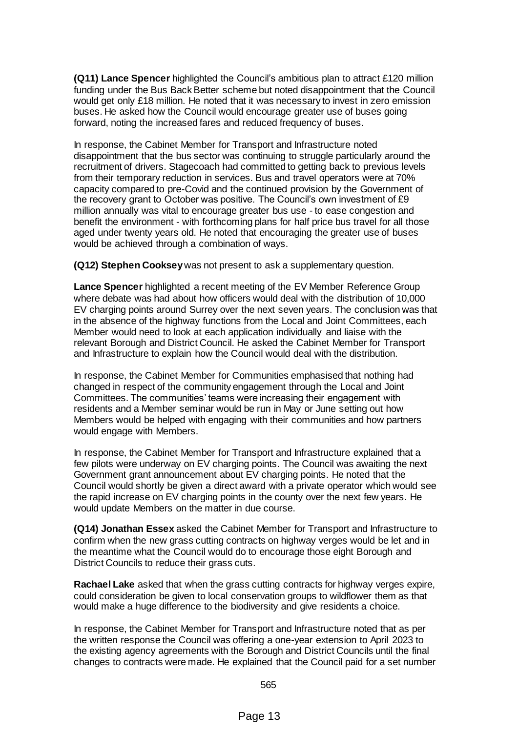**(Q11) Lance Spencer** highlighted the Council's ambitious plan to attract £120 million funding under the Bus Back Better scheme but noted disappointment that the Council would get only £18 million. He noted that it was necessary to invest in zero emission buses. He asked how the Council would encourage greater use of buses going forward, noting the increased fares and reduced frequency of buses.

In response, the Cabinet Member for Transport and Infrastructure noted disappointment that the bus sector was continuing to struggle particularly around the recruitment of drivers. Stagecoach had committed to getting back to previous levels from their temporary reduction in services. Bus and travel operators were at 70% capacity compared to pre-Covid and the continued provision by the Government of the recovery grant to October was positive. The Council's own investment of £9 million annually was vital to encourage greater bus use - to ease congestion and benefit the environment - with forthcoming plans for half price bus travel for all those aged under twenty years old. He noted that encouraging the greater use of buses would be achieved through a combination of ways.

**(Q12) Stephen Cooksey** was not present to ask a supplementary question.

**Lance Spencer** highlighted a recent meeting of the EV Member Reference Group where debate was had about how officers would deal with the distribution of 10,000 EV charging points around Surrey over the next seven years. The conclusion was that in the absence of the highway functions from the Local and Joint Committees, each Member would need to look at each application individually and liaise with the relevant Borough and District Council. He asked the Cabinet Member for Transport and Infrastructure to explain how the Council would deal with the distribution.

In response, the Cabinet Member for Communities emphasised that nothing had changed in respect of the community engagement through the Local and Joint Committees. The communities' teams were increasing their engagement with residents and a Member seminar would be run in May or June setting out how Members would be helped with engaging with their communities and how partners would engage with Members.

In response, the Cabinet Member for Transport and Infrastructure explained that a few pilots were underway on EV charging points. The Council was awaiting the next Government grant announcement about EV charging points. He noted that the Council would shortly be given a direct award with a private operator which would see the rapid increase on EV charging points in the county over the next few years. He would update Members on the matter in due course.

**(Q14) Jonathan Essex** asked the Cabinet Member for Transport and Infrastructure to confirm when the new grass cutting contracts on highway verges would be let and in the meantime what the Council would do to encourage those eight Borough and District Councils to reduce their grass cuts.

**Rachael Lake** asked that when the grass cutting contracts for highway verges expire, could consideration be given to local conservation groups to wildflower them as that would make a huge difference to the biodiversity and give residents a choice.

In response, the Cabinet Member for Transport and Infrastructure noted that as per the written response the Council was offering a one-year extension to April 2023 to the existing agency agreements with the Borough and District Councils until the final changes to contracts were made. He explained that the Council paid for a set number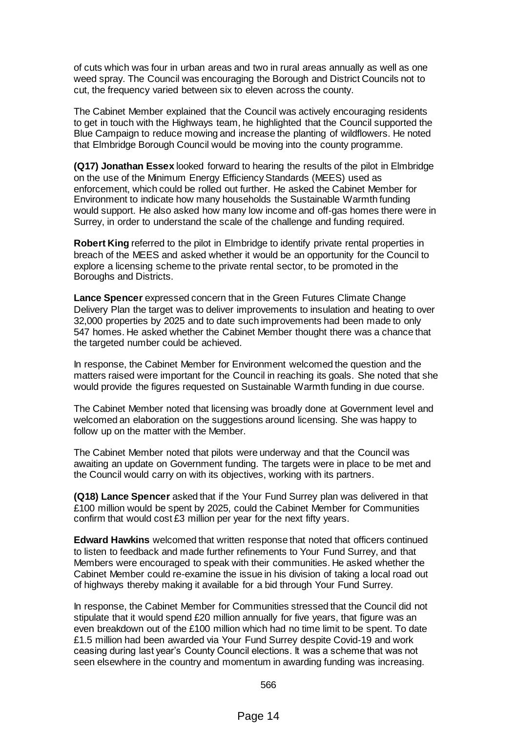of cuts which was four in urban areas and two in rural areas annually as well as one weed spray. The Council was encouraging the Borough and District Councils not to cut, the frequency varied between six to eleven across the county.

The Cabinet Member explained that the Council was actively encouraging residents to get in touch with the Highways team, he highlighted that the Council supported the Blue Campaign to reduce mowing and increase the planting of wildflowers. He noted that Elmbridge Borough Council would be moving into the county programme.

**(Q17) Jonathan Essex** looked forward to hearing the results of the pilot in Elmbridge on the use of the Minimum Energy Efficiency Standards (MEES) used as enforcement, which could be rolled out further. He asked the Cabinet Member for Environment to indicate how many households the Sustainable Warmth funding would support. He also asked how many low income and off-gas homes there were in Surrey, in order to understand the scale of the challenge and funding required.

**Robert King** referred to the pilot in Elmbridge to identify private rental properties in breach of the MEES and asked whether it would be an opportunity for the Council to explore a licensing scheme to the private rental sector, to be promoted in the Boroughs and Districts.

**Lance Spencer** expressed concern that in the Green Futures Climate Change Delivery Plan the target was to deliver improvements to insulation and heating to over 32,000 properties by 2025 and to date such improvements had been made to only 547 homes. He asked whether the Cabinet Member thought there was a chance that the targeted number could be achieved.

In response, the Cabinet Member for Environment welcomed the question and the matters raised were important for the Council in reaching its goals. She noted that she would provide the figures requested on Sustainable Warmth funding in due course.

The Cabinet Member noted that licensing was broadly done at Government level and welcomed an elaboration on the suggestions around licensing. She was happy to follow up on the matter with the Member.

The Cabinet Member noted that pilots were underway and that the Council was awaiting an update on Government funding. The targets were in place to be met and the Council would carry on with its objectives, working with its partners.

**(Q18) Lance Spencer** asked that if the Your Fund Surrey plan was delivered in that £100 million would be spent by 2025, could the Cabinet Member for Communities confirm that would cost £3 million per year for the next fifty years.

**Edward Hawkins** welcomed that written response that noted that officers continued to listen to feedback and made further refinements to Your Fund Surrey, and that Members were encouraged to speak with their communities. He asked whether the Cabinet Member could re-examine the issue in his division of taking a local road out of highways thereby making it available for a bid through Your Fund Surrey.

In response, the Cabinet Member for Communities stressed that the Council did not stipulate that it would spend £20 million annually for five years, that figure was an even breakdown out of the £100 million which had no time limit to be spent. To date £1.5 million had been awarded via Your Fund Surrey despite Covid-19 and work ceasing during last year's County Council elections. It was a scheme that was not seen elsewhere in the country and momentum in awarding funding was increasing.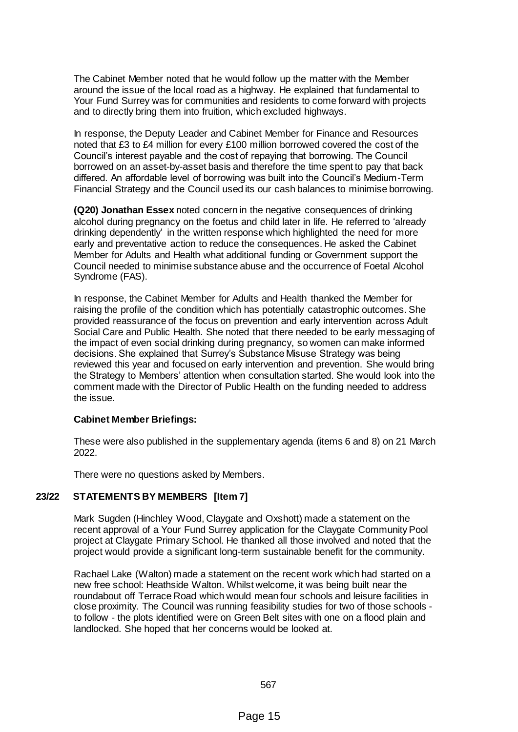The Cabinet Member noted that he would follow up the matter with the Member around the issue of the local road as a highway. He explained that fundamental to Your Fund Surrey was for communities and residents to come forward with projects and to directly bring them into fruition, which excluded highways.

In response, the Deputy Leader and Cabinet Member for Finance and Resources noted that £3 to £4 million for every £100 million borrowed covered the cost of the Council's interest payable and the cost of repaying that borrowing. The Council borrowed on an asset-by-asset basis and therefore the time spent to pay that back differed. An affordable level of borrowing was built into the Council's Medium-Term Financial Strategy and the Council used its our cash balances to minimise borrowing.

**(Q20) Jonathan Essex** noted concern in the negative consequences of drinking alcohol during pregnancy on the foetus and child later in life. He referred to 'already drinking dependently' in the written response which highlighted the need for more early and preventative action to reduce the consequences. He asked the Cabinet Member for Adults and Health what additional funding or Government support the Council needed to minimise substance abuse and the occurrence of Foetal Alcohol Syndrome (FAS).

In response, the Cabinet Member for Adults and Health thanked the Member for raising the profile of the condition which has potentially catastrophic outcomes. She provided reassurance of the focus on prevention and early intervention across Adult Social Care and Public Health. She noted that there needed to be early messaging of the impact of even social drinking during pregnancy, so women can make informed decisions. She explained that Surrey's Substance Misuse Strategy was being reviewed this year and focused on early intervention and prevention. She would bring the Strategy to Members' attention when consultation started. She would look into the comment made with the Director of Public Health on the funding needed to address the issue.

## **Cabinet Member Briefings:**

These were also published in the supplementary agenda (items 6 and 8) on 21 March 2022.

There were no questions asked by Members.

## **23/22 STATEMENTS BY MEMBERS [Item 7]**

Mark Sugden (Hinchley Wood, Claygate and Oxshott) made a statement on the recent approval of a Your Fund Surrey application for the Claygate Community Pool project at Claygate Primary School. He thanked all those involved and noted that the project would provide a significant long-term sustainable benefit for the community.

Rachael Lake (Walton) made a statement on the recent work which had started on a new free school: Heathside Walton. Whilst welcome, it was being built near the roundabout off Terrace Road which would mean four schools and leisure facilities in close proximity. The Council was running feasibility studies for two of those schools to follow - the plots identified were on Green Belt sites with one on a flood plain and landlocked. She hoped that her concerns would be looked at.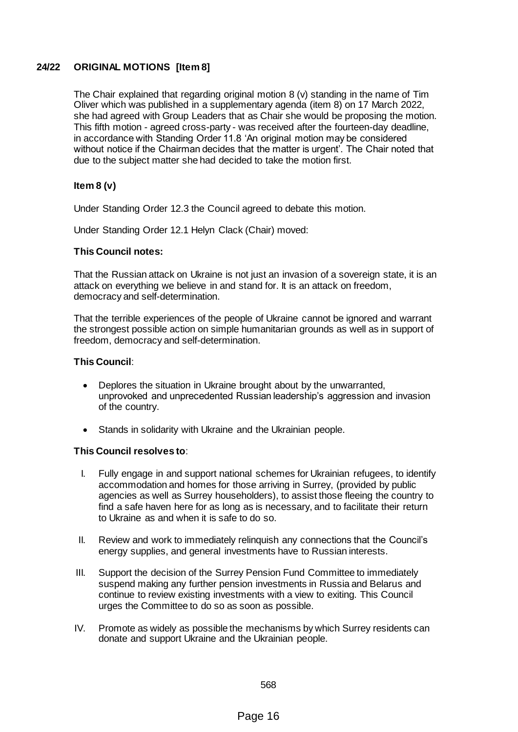## **24/22 ORIGINAL MOTIONS [Item 8]**

The Chair explained that regarding original motion 8 (v) standing in the name of Tim Oliver which was published in a supplementary agenda (item 8) on 17 March 2022, she had agreed with Group Leaders that as Chair she would be proposing the motion. This fifth motion - agreed cross-party - was received after the fourteen-day deadline, in accordance with Standing Order 11.8 'An original motion may be considered without notice if the Chairman decides that the matter is urgent'. The Chair noted that due to the subject matter she had decided to take the motion first.

## **Item 8 (v)**

Under Standing Order 12.3 the Council agreed to debate this motion.

Under Standing Order 12.1 Helyn Clack (Chair) moved:

#### **This Council notes:**

That the Russian attack on Ukraine is not just an invasion of a sovereign state, it is an attack on everything we believe in and stand for. It is an attack on freedom, democracy and self-determination.

That the terrible experiences of the people of Ukraine cannot be ignored and warrant the strongest possible action on simple humanitarian grounds as well as in support of freedom, democracy and self-determination.

#### **This Council**:

- Deplores the situation in Ukraine brought about by the unwarranted, unprovoked and unprecedented Russian leadership's aggression and invasion of the country.
- Stands in solidarity with Ukraine and the Ukrainian people.

## **This Council resolves to**:

- I. Fully engage in and support national schemes for Ukrainian refugees, to identify accommodation and homes for those arriving in Surrey, (provided by public agencies as well as Surrey householders), to assist those fleeing the country to find a safe haven here for as long as is necessary, and to facilitate their return to Ukraine as and when it is safe to do so.
- II. Review and work to immediately relinquish any connections that the Council's energy supplies, and general investments have to Russian interests.
- III. Support the decision of the Surrey Pension Fund Committee to immediately suspend making any further pension investments in Russia and Belarus and continue to review existing investments with a view to exiting. This Council urges the Committee to do so as soon as possible.
- IV. Promote as widely as possible the mechanisms by which Surrey residents can donate and support Ukraine and the Ukrainian people.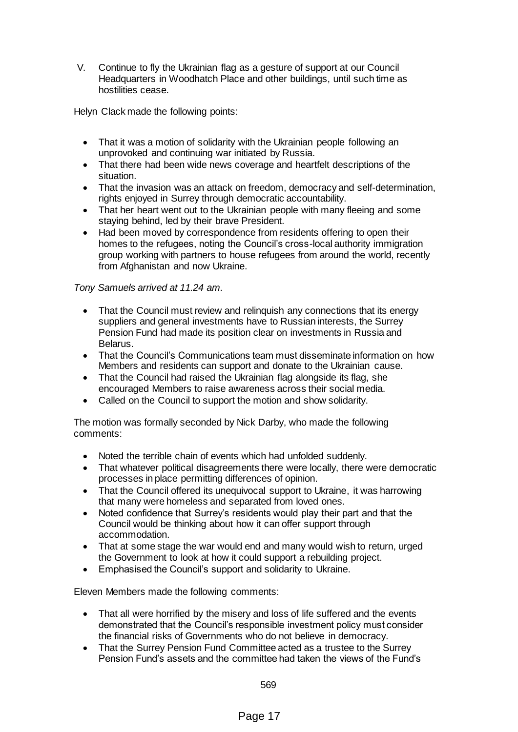V. Continue to fly the Ukrainian flag as a gesture of support at our Council Headquarters in Woodhatch Place and other buildings, until such time as hostilities cease.

Helyn Clack made the following points:

- That it was a motion of solidarity with the Ukrainian people following an unprovoked and continuing war initiated by Russia.
- That there had been wide news coverage and heartfelt descriptions of the situation.
- That the invasion was an attack on freedom, democracy and self-determination, rights enjoyed in Surrey through democratic accountability.
- That her heart went out to the Ukrainian people with many fleeing and some staying behind, led by their brave President.
- Had been moved by correspondence from residents offering to open their homes to the refugees, noting the Council's cross-local authority immigration group working with partners to house refugees from around the world, recently from Afghanistan and now Ukraine.

## *Tony Samuels arrived at 11.24 am.*

- That the Council must review and relinquish any connections that its energy suppliers and general investments have to Russian interests, the Surrey Pension Fund had made its position clear on investments in Russia and Belarus.
- That the Council's Communications team must disseminate information on how Members and residents can support and donate to the Ukrainian cause.
- That the Council had raised the Ukrainian flag alongside its flag, she encouraged Members to raise awareness across their social media.
- Called on the Council to support the motion and show solidarity.

The motion was formally seconded by Nick Darby, who made the following comments:

- Noted the terrible chain of events which had unfolded suddenly.
- That whatever political disagreements there were locally, there were democratic processes in place permitting differences of opinion.
- That the Council offered its unequivocal support to Ukraine, it was harrowing that many were homeless and separated from loved ones.
- Noted confidence that Surrey's residents would play their part and that the Council would be thinking about how it can offer support through accommodation.
- That at some stage the war would end and many would wish to return, urged the Government to look at how it could support a rebuilding project.
- Emphasised the Council's support and solidarity to Ukraine.

Eleven Members made the following comments:

- That all were horrified by the misery and loss of life suffered and the events demonstrated that the Council's responsible investment policy must consider the financial risks of Governments who do not believe in democracy.
- That the Surrey Pension Fund Committee acted as a trustee to the Surrey Pension Fund's assets and the committee had taken the views of the Fund's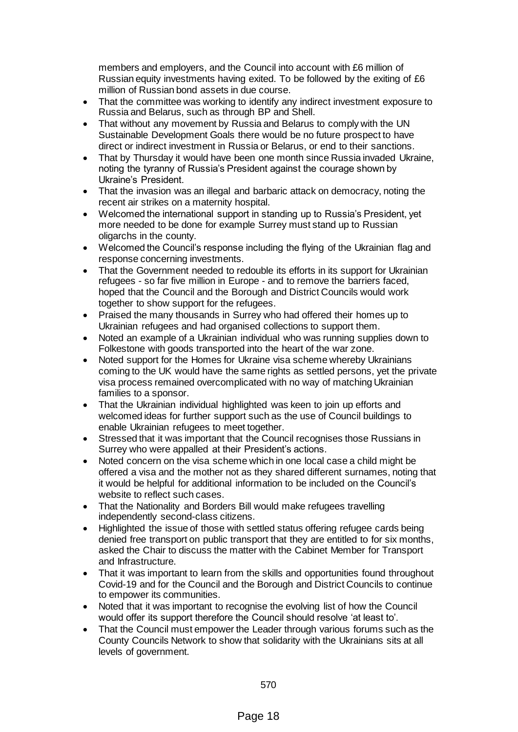members and employers, and the Council into account with £6 million of Russian equity investments having exited. To be followed by the exiting of £6 million of Russian bond assets in due course.

- That the committee was working to identify any indirect investment exposure to Russia and Belarus, such as through BP and Shell.
- That without any movement by Russia and Belarus to comply with the UN Sustainable Development Goals there would be no future prospect to have direct or indirect investment in Russia or Belarus, or end to their sanctions.
- That by Thursday it would have been one month since Russia invaded Ukraine, noting the tyranny of Russia's President against the courage shown by Ukraine's President.
- That the invasion was an illegal and barbaric attack on democracy, noting the recent air strikes on a maternity hospital.
- Welcomed the international support in standing up to Russia's President, yet more needed to be done for example Surrey must stand up to Russian oligarchs in the county.
- Welcomed the Council's response including the flying of the Ukrainian flag and response concerning investments.
- That the Government needed to redouble its efforts in its support for Ukrainian refugees - so far five million in Europe - and to remove the barriers faced, hoped that the Council and the Borough and District Councils would work together to show support for the refugees.
- Praised the many thousands in Surrey who had offered their homes up to Ukrainian refugees and had organised collections to support them.
- Noted an example of a Ukrainian individual who was running supplies down to Folkestone with goods transported into the heart of the war zone.
- Noted support for the Homes for Ukraine visa scheme whereby Ukrainians coming to the UK would have the same rights as settled persons, yet the private visa process remained overcomplicated with no way of matching Ukrainian families to a sponsor.
- That the Ukrainian individual highlighted was keen to join up efforts and welcomed ideas for further support such as the use of Council buildings to enable Ukrainian refugees to meet together.
- Stressed that it was important that the Council recognises those Russians in Surrey who were appalled at their President's actions.
- Noted concern on the visa scheme which in one local case a child might be offered a visa and the mother not as they shared different surnames, noting that it would be helpful for additional information to be included on the Council's website to reflect such cases.
- That the Nationality and Borders Bill would make refugees travelling independently second-class citizens.
- Highlighted the issue of those with settled status offering refugee cards being denied free transport on public transport that they are entitled to for six months, asked the Chair to discuss the matter with the Cabinet Member for Transport and Infrastructure.
- That it was important to learn from the skills and opportunities found throughout Covid-19 and for the Council and the Borough and District Councils to continue to empower its communities.
- Noted that it was important to recognise the evolving list of how the Council would offer its support therefore the Council should resolve 'at least to'.
- That the Council must empower the Leader through various forums such as the County Councils Network to show that solidarity with the Ukrainians sits at all levels of government.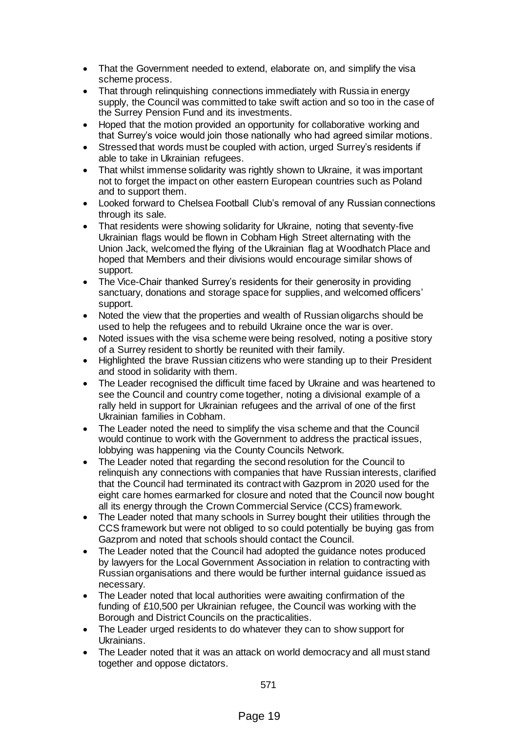- That the Government needed to extend, elaborate on, and simplify the visa scheme process.
- That through relinquishing connections immediately with Russia in energy supply, the Council was committed to take swift action and so too in the case of the Surrey Pension Fund and its investments.
- Hoped that the motion provided an opportunity for collaborative working and that Surrey's voice would join those nationally who had agreed similar motions.
- Stressed that words must be coupled with action, urged Surrey's residents if able to take in Ukrainian refugees.
- That whilst immense solidarity was rightly shown to Ukraine, it was important not to forget the impact on other eastern European countries such as Poland and to support them.
- Looked forward to Chelsea Football Club's removal of any Russian connections through its sale.
- That residents were showing solidarity for Ukraine, noting that seventy-five Ukrainian flags would be flown in Cobham High Street alternating with the Union Jack, welcomed the flying of the Ukrainian flag at Woodhatch Place and hoped that Members and their divisions would encourage similar shows of support.
- The Vice-Chair thanked Surrey's residents for their generosity in providing sanctuary, donations and storage space for supplies, and welcomed officers' support.
- Noted the view that the properties and wealth of Russian oligarchs should be used to help the refugees and to rebuild Ukraine once the war is over.
- Noted issues with the visa scheme were being resolved, noting a positive story of a Surrey resident to shortly be reunited with their family.
- Highlighted the brave Russian citizens who were standing up to their President and stood in solidarity with them.
- The Leader recognised the difficult time faced by Ukraine and was heartened to see the Council and country come together, noting a divisional example of a rally held in support for Ukrainian refugees and the arrival of one of the first Ukrainian families in Cobham.
- The Leader noted the need to simplify the visa scheme and that the Council would continue to work with the Government to address the practical issues, lobbying was happening via the County Councils Network.
- The Leader noted that regarding the second resolution for the Council to relinquish any connections with companies that have Russian interests, clarified that the Council had terminated its contract with Gazprom in 2020 used for the eight care homes earmarked for closure and noted that the Council now bought all its energy through the Crown Commercial Service (CCS) framework.
- The Leader noted that many schools in Surrey bought their utilities through the CCS framework but were not obliged to so could potentially be buying gas from Gazprom and noted that schools should contact the Council.
- The Leader noted that the Council had adopted the guidance notes produced by lawyers for the Local Government Association in relation to contracting with Russian organisations and there would be further internal guidance issued as necessary.
- The Leader noted that local authorities were awaiting confirmation of the funding of £10,500 per Ukrainian refugee, the Council was working with the Borough and District Councils on the practicalities.
- The Leader urged residents to do whatever they can to show support for Ukrainians.
- The Leader noted that it was an attack on world democracy and all must stand together and oppose dictators.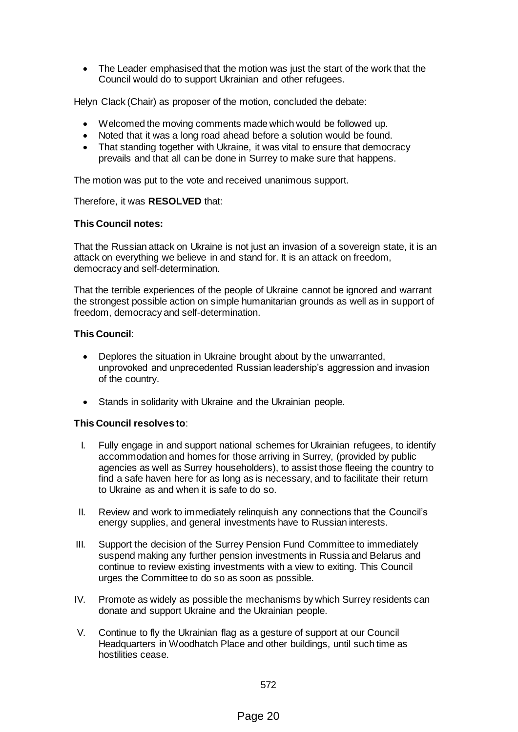The Leader emphasised that the motion was just the start of the work that the Council would do to support Ukrainian and other refugees.

Helyn Clack (Chair) as proposer of the motion, concluded the debate:

- Welcomed the moving comments made which would be followed up.
- Noted that it was a long road ahead before a solution would be found.
- That standing together with Ukraine, it was vital to ensure that democracy prevails and that all can be done in Surrey to make sure that happens.

The motion was put to the vote and received unanimous support.

#### Therefore, it was **RESOLVED** that:

#### **This Council notes:**

That the Russian attack on Ukraine is not just an invasion of a sovereign state, it is an attack on everything we believe in and stand for. It is an attack on freedom, democracy and self-determination.

That the terrible experiences of the people of Ukraine cannot be ignored and warrant the strongest possible action on simple humanitarian grounds as well as in support of freedom, democracy and self-determination.

### **This Council**:

- Deplores the situation in Ukraine brought about by the unwarranted, unprovoked and unprecedented Russian leadership's aggression and invasion of the country.
- Stands in solidarity with Ukraine and the Ukrainian people.

#### **This Council resolves to**:

- I. Fully engage in and support national schemes for Ukrainian refugees, to identify accommodation and homes for those arriving in Surrey, (provided by public agencies as well as Surrey householders), to assist those fleeing the country to find a safe haven here for as long as is necessary, and to facilitate their return to Ukraine as and when it is safe to do so.
- II. Review and work to immediately relinquish any connections that the Council's energy supplies, and general investments have to Russian interests.
- III. Support the decision of the Surrey Pension Fund Committee to immediately suspend making any further pension investments in Russia and Belarus and continue to review existing investments with a view to exiting. This Council urges the Committee to do so as soon as possible.
- IV. Promote as widely as possible the mechanisms by which Surrey residents can donate and support Ukraine and the Ukrainian people.
- V. Continue to fly the Ukrainian flag as a gesture of support at our Council Headquarters in Woodhatch Place and other buildings, until such time as hostilities cease.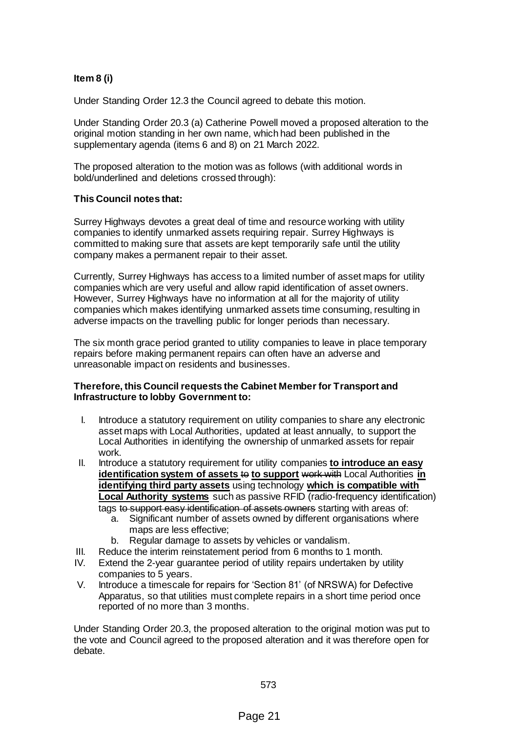# **Item 8 (i)**

Under Standing Order 12.3 the Council agreed to debate this motion.

Under Standing Order 20.3 (a) Catherine Powell moved a proposed alteration to the original motion standing in her own name, which had been published in the supplementary agenda (items 6 and 8) on 21 March 2022.

The proposed alteration to the motion was as follows (with additional words in bold/underlined and deletions crossed through):

#### **This Council notes that:**

Surrey Highways devotes a great deal of time and resource working with utility companies to identify unmarked assets requiring repair. Surrey Highways is committed to making sure that assets are kept temporarily safe until the utility company makes a permanent repair to their asset.

Currently, Surrey Highways has access to a limited number of asset maps for utility companies which are very useful and allow rapid identification of asset owners. However, Surrey Highways have no information at all for the majority of utility companies which makes identifying unmarked assets time consuming, resulting in adverse impacts on the travelling public for longer periods than necessary.

The six month grace period granted to utility companies to leave in place temporary repairs before making permanent repairs can often have an adverse and unreasonable impact on residents and businesses.

#### **Therefore, this Council requests the Cabinet Member for Transport and Infrastructure to lobby Government to:**

- I. Introduce a statutory requirement on utility companies to share any electronic asset maps with Local Authorities, updated at least annually, to support the Local Authorities in identifying the ownership of unmarked assets for repair work.
- II. Introduce a statutory requirement for utility companies **to introduce an easy identification system of assets to to support work with Local Authorities in identifying third party assets** using technology **which is compatible with Local Authority systems** such as passive RFID (radio-frequency identification) tags to support easy identification of assets owners starting with areas of:
	- a. Significant number of assets owned by different organisations where maps are less effective;
	- b. Regular damage to assets by vehicles or vandalism.
- III. Reduce the interim reinstatement period from 6 months to 1 month.
- IV. Extend the 2-year guarantee period of utility repairs undertaken by utility companies to 5 years.
- V. Introduce a timescale for repairs for 'Section 81' (of NRSWA) for Defective Apparatus, so that utilities must complete repairs in a short time period once reported of no more than 3 months.

Under Standing Order 20.3, the proposed alteration to the original motion was put to the vote and Council agreed to the proposed alteration and it was therefore open for debate.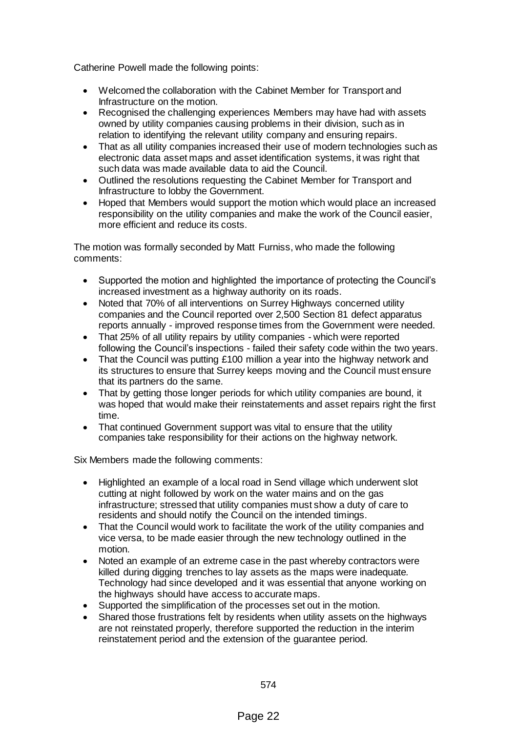Catherine Powell made the following points:

- Welcomed the collaboration with the Cabinet Member for Transport and Infrastructure on the motion.
- Recognised the challenging experiences Members may have had with assets owned by utility companies causing problems in their division, such as in relation to identifying the relevant utility company and ensuring repairs.
- That as all utility companies increased their use of modern technologies such as electronic data asset maps and asset identification systems, it was right that such data was made available data to aid the Council.
- Outlined the resolutions requesting the Cabinet Member for Transport and Infrastructure to lobby the Government.
- Hoped that Members would support the motion which would place an increased responsibility on the utility companies and make the work of the Council easier, more efficient and reduce its costs.

The motion was formally seconded by Matt Furniss, who made the following comments:

- Supported the motion and highlighted the importance of protecting the Council's increased investment as a highway authority on its roads.
- Noted that 70% of all interventions on Surrey Highways concerned utility companies and the Council reported over 2,500 Section 81 defect apparatus reports annually - improved response times from the Government were needed.
- That 25% of all utility repairs by utility companies which were reported following the Council's inspections - failed their safety code within the two years.
- That the Council was putting £100 million a year into the highway network and its structures to ensure that Surrey keeps moving and the Council must ensure that its partners do the same.
- That by getting those longer periods for which utility companies are bound, it was hoped that would make their reinstatements and asset repairs right the first time.
- That continued Government support was vital to ensure that the utility companies take responsibility for their actions on the highway network.

Six Members made the following comments:

- Highlighted an example of a local road in Send village which underwent slot cutting at night followed by work on the water mains and on the gas infrastructure; stressed that utility companies must show a duty of care to residents and should notify the Council on the intended timings.
- That the Council would work to facilitate the work of the utility companies and vice versa, to be made easier through the new technology outlined in the motion.
- Noted an example of an extreme case in the past whereby contractors were killed during digging trenches to lay assets as the maps were inadequate*.*  Technology had since developed and it was essential that anyone working on the highways should have access to accurate maps.
- Supported the simplification of the processes set out in the motion.
- Shared those frustrations felt by residents when utility assets on the highways are not reinstated properly, therefore supported the reduction in the interim reinstatement period and the extension of the guarantee period.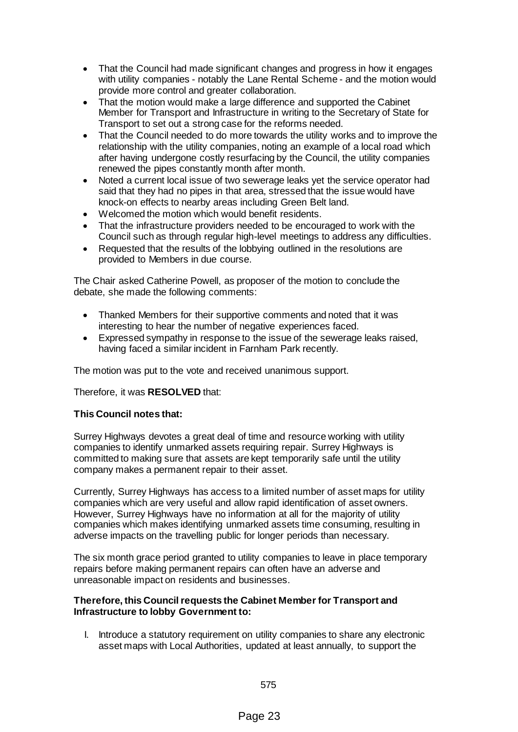- That the Council had made significant changes and progress in how it engages with utility companies - notably the Lane Rental Scheme - and the motion would provide more control and greater collaboration.
- That the motion would make a large difference and supported the Cabinet Member for Transport and Infrastructure in writing to the Secretary of State for Transport to set out a strong case for the reforms needed.
- That the Council needed to do more towards the utility works and to improve the relationship with the utility companies, noting an example of a local road which after having undergone costly resurfacing by the Council, the utility companies renewed the pipes constantly month after month.
- Noted a current local issue of two sewerage leaks yet the service operator had said that they had no pipes in that area, stressed that the issue would have knock-on effects to nearby areas including Green Belt land.
- Welcomed the motion which would benefit residents.
- That the infrastructure providers needed to be encouraged to work with the Council such as through regular high-level meetings to address any difficulties.
- Requested that the results of the lobbying outlined in the resolutions are provided to Members in due course.

The Chair asked Catherine Powell, as proposer of the motion to conclude the debate, she made the following comments:

- Thanked Members for their supportive comments and noted that it was interesting to hear the number of negative experiences faced.
- Expressed sympathy in response to the issue of the sewerage leaks raised, having faced a similar incident in Farnham Park recently.

The motion was put to the vote and received unanimous support.

Therefore, it was **RESOLVED** that:

## **This Council notes that:**

Surrey Highways devotes a great deal of time and resource working with utility companies to identify unmarked assets requiring repair. Surrey Highways is committed to making sure that assets are kept temporarily safe until the utility company makes a permanent repair to their asset.

Currently, Surrey Highways has access to a limited number of asset maps for utility companies which are very useful and allow rapid identification of asset owners. However, Surrey Highways have no information at all for the majority of utility companies which makes identifying unmarked assets time consuming, resulting in adverse impacts on the travelling public for longer periods than necessary.

The six month grace period granted to utility companies to leave in place temporary repairs before making permanent repairs can often have an adverse and unreasonable impact on residents and businesses.

#### **Therefore, this Council requests the Cabinet Member for Transport and Infrastructure to lobby Government to:**

I. Introduce a statutory requirement on utility companies to share any electronic asset maps with Local Authorities, updated at least annually, to support the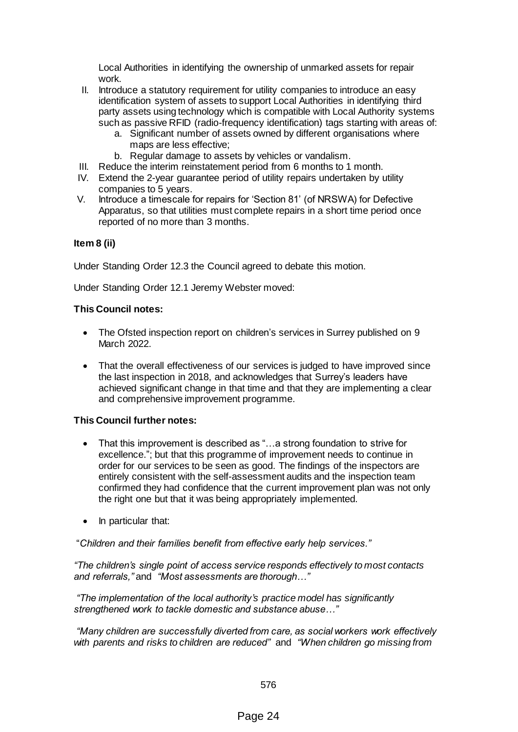Local Authorities in identifying the ownership of unmarked assets for repair work.

- II. Introduce a statutory requirement for utility companies to introduce an easy identification system of assets to support Local Authorities in identifying third party assets using technology which is compatible with Local Authority systems such as passive RFID (radio-frequency identification) tags starting with areas of:
	- a. Significant number of assets owned by different organisations where maps are less effective;
	- b. Regular damage to assets by vehicles or vandalism.
- III. Reduce the interim reinstatement period from 6 months to 1 month.
- IV. Extend the 2-year guarantee period of utility repairs undertaken by utility companies to 5 years.
- V. Introduce a timescale for repairs for 'Section 81' (of NRSWA) for Defective Apparatus, so that utilities must complete repairs in a short time period once reported of no more than 3 months.

## **Item 8 (ii)**

Under Standing Order 12.3 the Council agreed to debate this motion.

Under Standing Order 12.1 Jeremy Webster moved:

## **This Council notes:**

- The Ofsted inspection report on children's services in Surrey published on 9 March 2022.
- That the overall effectiveness of our services is judged to have improved since the last inspection in 2018, and acknowledges that Surrey's leaders have achieved significant change in that time and that they are implementing a clear and comprehensive improvement programme.

## **This Council further notes:**

- That this improvement is described as "...a strong foundation to strive for excellence."; but that this programme of improvement needs to continue in order for our services to be seen as good. The findings of the inspectors are entirely consistent with the self-assessment audits and the inspection team confirmed they had confidence that the current improvement plan was not only the right one but that it was being appropriately implemented.
- In particular that:

"*Children and their families benefit from effective early help services."*

*"The children's single point of access service responds effectively to most contacts and referrals,"* and *"Most assessments are thorough…"*

*"The implementation of the local authority's practice model has significantly strengthened work to tackle domestic and substance abuse…"*

*"Many children are successfully diverted from care, as social workers work effectively with parents and risks to children are reduced"* and *"When children go missing from*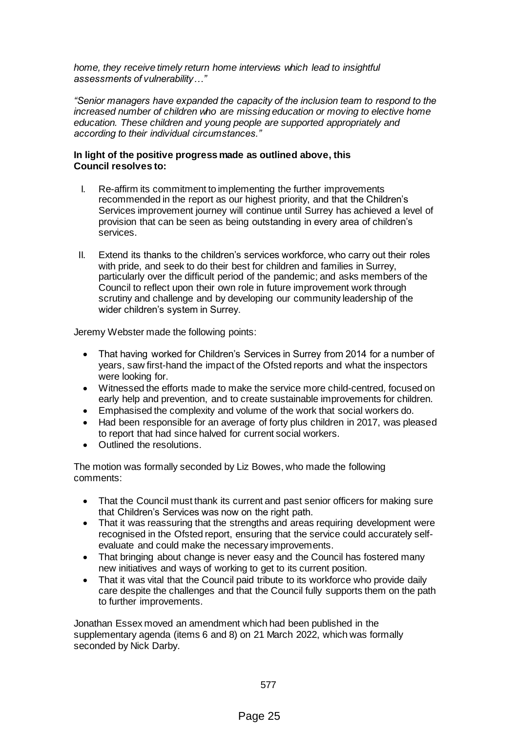*home, they receive timely return home interviews which lead to insightful assessments of vulnerability…"*

*"Senior managers have expanded the capacity of the inclusion team to respond to the increased number of children who are missing education or moving to elective home education. These children and young people are supported appropriately and according to their individual circumstances."*

#### **In light of the positive progress made as outlined above, this Council resolves to:**

- I. Re-affirm its commitment to implementing the further improvements recommended in the report as our highest priority, and that the Children's Services improvement journey will continue until Surrey has achieved a level of provision that can be seen as being outstanding in every area of children's services.
- II. Extend its thanks to the children's services workforce, who carry out their roles with pride, and seek to do their best for children and families in Surrey. particularly over the difficult period of the pandemic; and asks members of the Council to reflect upon their own role in future improvement work through scrutiny and challenge and by developing our community leadership of the wider children's system in Surrey.

Jeremy Webster made the following points:

- That having worked for Children's Services in Surrey from 2014 for a number of years, saw first-hand the impact of the Ofsted reports and what the inspectors were looking for.
- Witnessed the efforts made to make the service more child-centred, focused on early help and prevention, and to create sustainable improvements for children.
- Emphasised the complexity and volume of the work that social workers do.
- Had been responsible for an average of forty plus children in 2017, was pleased to report that had since halved for current social workers.
- Outlined the resolutions.

The motion was formally seconded by Liz Bowes, who made the following comments:

- That the Council must thank its current and past senior officers for making sure that Children's Services was now on the right path.
- That it was reassuring that the strengths and areas requiring development were recognised in the Ofsted report, ensuring that the service could accurately selfevaluate and could make the necessary improvements.
- That bringing about change is never easy and the Council has fostered many new initiatives and ways of working to get to its current position.
- That it was vital that the Council paid tribute to its workforce who provide daily care despite the challenges and that the Council fully supports them on the path to further improvements.

Jonathan Essex moved an amendment which had been published in the supplementary agenda (items 6 and 8) on 21 March 2022, which was formally seconded by Nick Darby.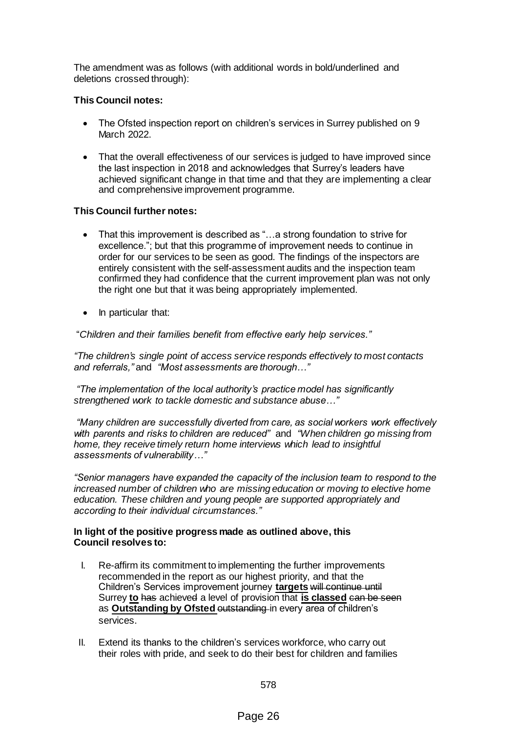The amendment was as follows (with additional words in bold/underlined and deletions crossed through):

## **This Council notes:**

- The Ofsted inspection report on children's services in Surrey published on 9 March 2022.
- That the overall effectiveness of our services is judged to have improved since the last inspection in 2018 and acknowledges that Surrey's leaders have achieved significant change in that time and that they are implementing a clear and comprehensive improvement programme.

## **This Council further notes:**

- That this improvement is described as "…a strong foundation to strive for excellence."; but that this programme of improvement needs to continue in order for our services to be seen as good. The findings of the inspectors are entirely consistent with the self-assessment audits and the inspection team confirmed they had confidence that the current improvement plan was not only the right one but that it was being appropriately implemented.
- In particular that:

"*Children and their families benefit from effective early help services."*

*"The children's single point of access service responds effectively to most contacts and referrals,"* and *"Most assessments are thorough…"*

*"The implementation of the local authority's practice model has significantly strengthened work to tackle domestic and substance abuse…"*

*"Many children are successfully diverted from care, as social workers work effectively with parents and risks to children are reduced"* and *"When children go missing from home, they receive timely return home interviews which lead to insightful assessments of vulnerability…"*

*"Senior managers have expanded the capacity of the inclusion team to respond to the increased number of children who are missing education or moving to elective home education. These children and young people are supported appropriately and according to their individual circumstances."*

#### **In light of the positive progress made as outlined above, this Council resolves to:**

- I. Re-affirm its commitment to implementing the further improvements recommended in the report as our highest priority, and that the Children's Services improvement journey **targets** will continue until Surrey **to** has achieved a level of provision that **is classed** can be seen as **Outstanding by Ofsted** outstanding in every area of children's services.
- II. Extend its thanks to the children's services workforce, who carry out their roles with pride, and seek to do their best for children and families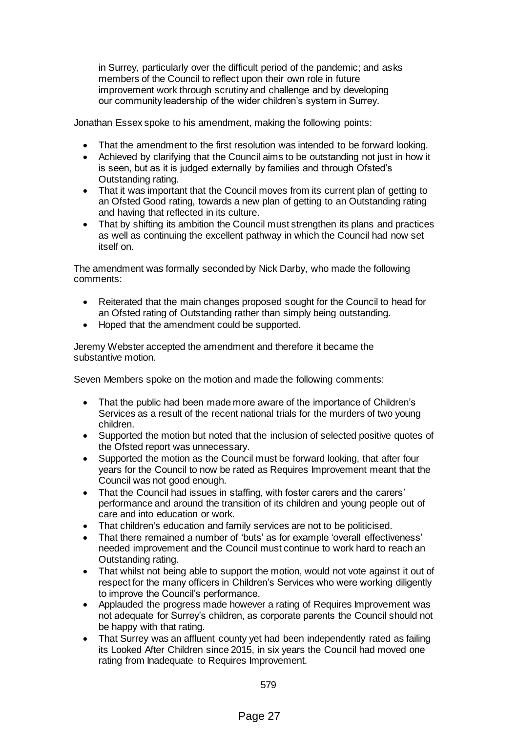in Surrey, particularly over the difficult period of the pandemic; and asks members of the Council to reflect upon their own role in future improvement work through scrutiny and challenge and by developing our community leadership of the wider children's system in Surrey.

Jonathan Essex spoke to his amendment, making the following points:

- That the amendment to the first resolution was intended to be forward looking.
- Achieved by clarifying that the Council aims to be outstanding not just in how it is seen, but as it is judged externally by families and through Ofsted's Outstanding rating.
- That it was important that the Council moves from its current plan of getting to an Ofsted Good rating, towards a new plan of getting to an Outstanding rating and having that reflected in its culture.
- That by shifting its ambition the Council must strengthen its plans and practices as well as continuing the excellent pathway in which the Council had now set itself on.

The amendment was formally seconded by Nick Darby, who made the following comments:

- Reiterated that the main changes proposed sought for the Council to head for an Ofsted rating of Outstanding rather than simply being outstanding.
- Hoped that the amendment could be supported.

Jeremy Webster accepted the amendment and therefore it became the substantive motion.

Seven Members spoke on the motion and made the following comments:

- That the public had been made more aware of the importance of Children's Services as a result of the recent national trials for the murders of two young children.
- Supported the motion but noted that the inclusion of selected positive quotes of the Ofsted report was unnecessary.
- Supported the motion as the Council must be forward looking, that after four years for the Council to now be rated as Requires Improvement meant that the Council was not good enough.
- That the Council had issues in staffing, with foster carers and the carers' performance and around the transition of its children and young people out of care and into education or work.
- That children's education and family services are not to be politicised.
- That there remained a number of 'buts' as for example 'overall effectiveness' needed improvement and the Council must continue to work hard to reach an Outstanding rating.
- That whilst not being able to support the motion, would not vote against it out of respect for the many officers in Children's Services who were working diligently to improve the Council's performance.
- Applauded the progress made however a rating of Requires Improvement was not adequate for Surrey's children, as corporate parents the Council should not be happy with that rating.
- That Surrey was an affluent county yet had been independently rated as failing its Looked After Children since 2015, in six years the Council had moved one rating from Inadequate to Requires Improvement.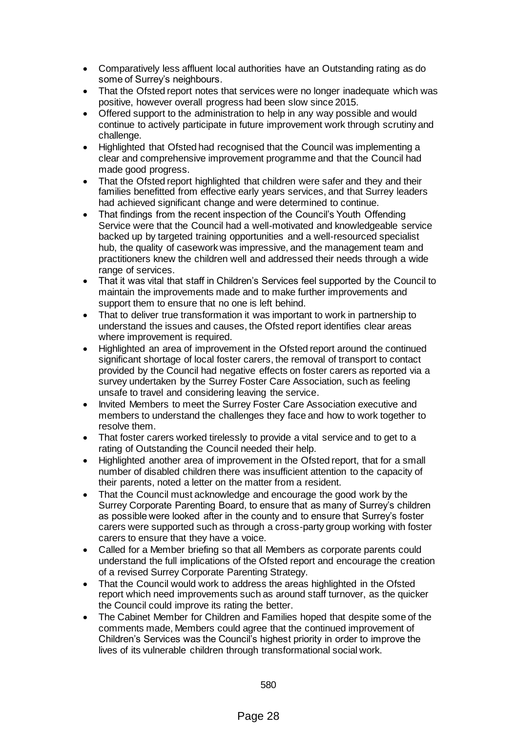- Comparatively less affluent local authorities have an Outstanding rating as do some of Surrey's neighbours.
- That the Ofsted report notes that services were no longer inadequate which was positive, however overall progress had been slow since 2015.
- Offered support to the administration to help in any way possible and would continue to actively participate in future improvement work through scrutiny and challenge.
- Highlighted that Ofsted had recognised that the Council was implementing a clear and comprehensive improvement programme and that the Council had made good progress.
- That the Ofsted report highlighted that children were safer and they and their families benefitted from effective early years services, and that Surrey leaders had achieved significant change and were determined to continue.
- That findings from the recent inspection of the Council's Youth Offending Service were that the Council had a well-motivated and knowledgeable service backed up by targeted training opportunities and a well-resourced specialist hub, the quality of casework was impressive, and the management team and practitioners knew the children well and addressed their needs through a wide range of services.
- That it was vital that staff in Children's Services feel supported by the Council to maintain the improvements made and to make further improvements and support them to ensure that no one is left behind.
- That to deliver true transformation it was important to work in partnership to understand the issues and causes, the Ofsted report identifies clear areas where improvement is required.
- Highlighted an area of improvement in the Ofsted report around the continued significant shortage of local foster carers, the removal of transport to contact provided by the Council had negative effects on foster carers as reported via a survey undertaken by the Surrey Foster Care Association, such as feeling unsafe to travel and considering leaving the service.
- Invited Members to meet the Surrey Foster Care Association executive and members to understand the challenges they face and how to work together to resolve them.
- That foster carers worked tirelessly to provide a vital service and to get to a rating of Outstanding the Council needed their help.
- Highlighted another area of improvement in the Ofsted report, that for a small number of disabled children there was insufficient attention to the capacity of their parents, noted a letter on the matter from a resident.
- That the Council must acknowledge and encourage the good work by the Surrey Corporate Parenting Board, to ensure that as many of Surrey's children as possible were looked after in the county and to ensure that Surrey's foster carers were supported such as through a cross-party group working with foster carers to ensure that they have a voice.
- Called for a Member briefing so that all Members as corporate parents could understand the full implications of the Ofsted report and encourage the creation of a revised Surrey Corporate Parenting Strategy.
- That the Council would work to address the areas highlighted in the Ofsted report which need improvements such as around staff turnover, as the quicker the Council could improve its rating the better.
- The Cabinet Member for Children and Families hoped that despite some of the comments made, Members could agree that the continued improvement of Children's Services was the Council's highest priority in order to improve the lives of its vulnerable children through transformational social work.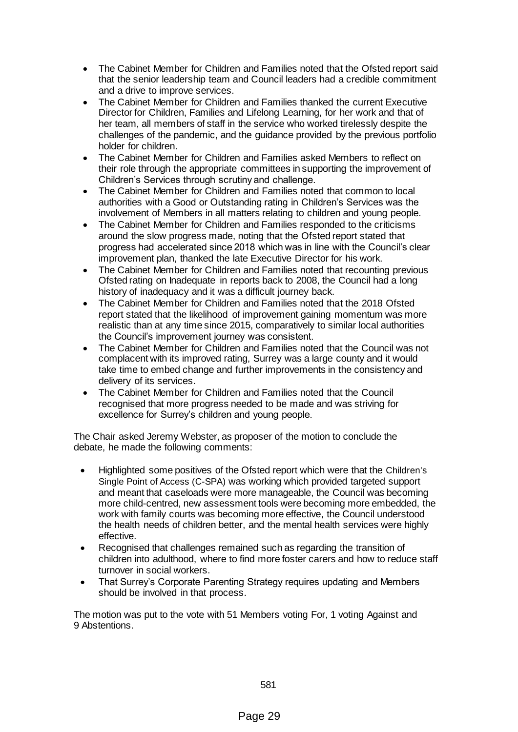- The Cabinet Member for Children and Families noted that the Ofsted report said that the senior leadership team and Council leaders had a credible commitment and a drive to improve services.
- The Cabinet Member for Children and Families thanked the current Executive Director for Children, Families and Lifelong Learning, for her work and that of her team, all members of staff in the service who worked tirelessly despite the challenges of the pandemic, and the guidance provided by the previous portfolio holder for children.
- The Cabinet Member for Children and Families asked Members to reflect on their role through the appropriate committees in supporting the improvement of Children's Services through scrutiny and challenge.
- The Cabinet Member for Children and Families noted that common to local authorities with a Good or Outstanding rating in Children's Services was the involvement of Members in all matters relating to children and young people.
- The Cabinet Member for Children and Families responded to the criticisms around the slow progress made, noting that the Ofsted report stated that progress had accelerated since 2018 which was in line with the Council's clear improvement plan, thanked the late Executive Director for his work.
- The Cabinet Member for Children and Families noted that recounting previous Ofsted rating on Inadequate in reports back to 2008, the Council had a long history of inadequacy and it was a difficult journey back.
- The Cabinet Member for Children and Families noted that the 2018 Ofsted report stated that the likelihood of improvement gaining momentum was more realistic than at any time since 2015, comparatively to similar local authorities the Council's improvement journey was consistent.
- The Cabinet Member for Children and Families noted that the Council was not complacent with its improved rating, Surrey was a large county and it would take time to embed change and further improvements in the consistency and delivery of its services.
- The Cabinet Member for Children and Families noted that the Council recognised that more progress needed to be made and was striving for excellence for Surrey's children and young people.

The Chair asked Jeremy Webster, as proposer of the motion to conclude the debate, he made the following comments:

- Highlighted some positives of the Ofsted report which were that the Children's Single Point of Access (C-SPA) was working which provided targeted support and meant that caseloads were more manageable, the Council was becoming more child-centred, new assessment tools were becoming more embedded, the work with family courts was becoming more effective, the Council understood the health needs of children better, and the mental health services were highly effective.
- Recognised that challenges remained such as regarding the transition of children into adulthood, where to find more foster carers and how to reduce staff turnover in social workers.
- That Surrey's Corporate Parenting Strategy requires updating and Members should be involved in that process.

The motion was put to the vote with 51 Members voting For, 1 voting Against and 9 Abstentions.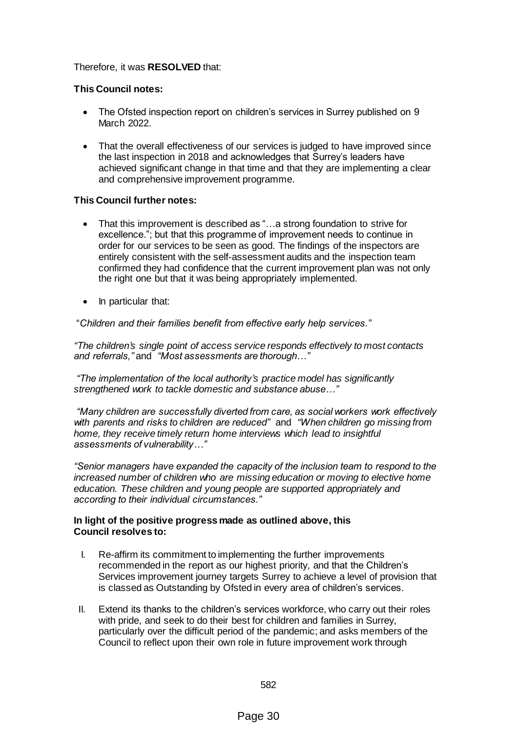## Therefore, it was **RESOLVED** that:

## **This Council notes:**

- The Ofsted inspection report on children's services in Surrey published on 9 March 2022.
- That the overall effectiveness of our services is judged to have improved since the last inspection in 2018 and acknowledges that Surrey's leaders have achieved significant change in that time and that they are implementing a clear and comprehensive improvement programme.

# **This Council further notes:**

- That this improvement is described as "...a strong foundation to strive for excellence."; but that this programme of improvement needs to continue in order for our services to be seen as good. The findings of the inspectors are entirely consistent with the self-assessment audits and the inspection team confirmed they had confidence that the current improvement plan was not only the right one but that it was being appropriately implemented.
- In particular that:

"*Children and their families benefit from effective early help services."*

*"The children's single point of access service responds effectively to most contacts and referrals,"* and *"Most assessments are thorough…"*

*"The implementation of the local authority's practice model has significantly strengthened work to tackle domestic and substance abuse…"*

*"Many children are successfully diverted from care, as social workers work effectively with parents and risks to children are reduced"* and *"When children go missing from*  home, they receive timely return home interviews which lead to insightful *assessments of vulnerability…"*

*"Senior managers have expanded the capacity of the inclusion team to respond to the increased number of children who are missing education or moving to elective home education. These children and young people are supported appropriately and according to their individual circumstances."*

#### **In light of the positive progress made as outlined above, this Council resolves to:**

- I. Re-affirm its commitment to implementing the further improvements recommended in the report as our highest priority, and that the Children's Services improvement journey targets Surrey to achieve a level of provision that is classed as Outstanding by Ofsted in every area of children's services.
- II. Extend its thanks to the children's services workforce, who carry out their roles with pride, and seek to do their best for children and families in Surrey, particularly over the difficult period of the pandemic; and asks members of the Council to reflect upon their own role in future improvement work through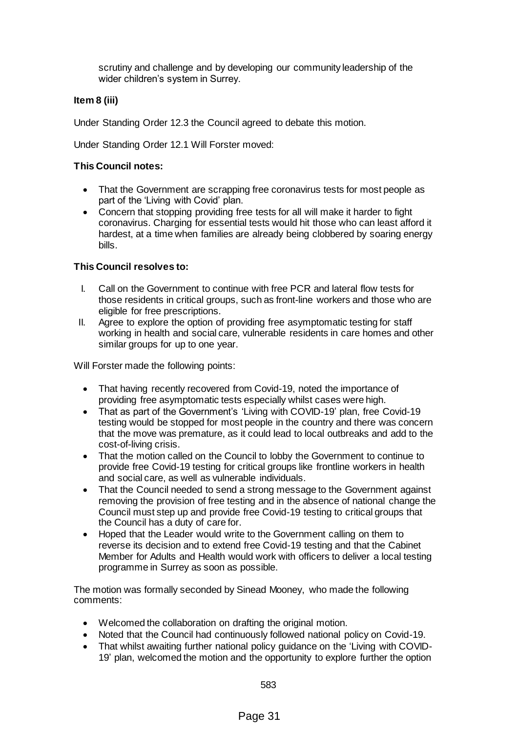scrutiny and challenge and by developing our community leadership of the wider children's system in Surrey.

## **Item 8 (iii)**

Under Standing Order 12.3 the Council agreed to debate this motion.

Under Standing Order 12.1 Will Forster moved:

## **This Council notes:**

- That the Government are scrapping free coronavirus tests for most people as part of the 'Living with Covid' plan.
- Concern that stopping providing free tests for all will make it harder to fight coronavirus. Charging for essential tests would hit those who can least afford it hardest, at a time when families are already being clobbered by soaring energy bills.

## **This Council resolves to:**

- I. Call on the Government to continue with free PCR and lateral flow tests for those residents in critical groups, such as front-line workers and those who are eligible for free prescriptions.
- II. Agree to explore the option of providing free asymptomatic testing for staff working in health and social care, vulnerable residents in care homes and other similar groups for up to one year.

Will Forster made the following points:

- That having recently recovered from Covid-19, noted the importance of providing free asymptomatic tests especially whilst cases were high.
- That as part of the Government's 'Living with COVID-19' plan, free Covid-19 testing would be stopped for most people in the country and there was concern that the move was premature, as it could lead to local outbreaks and add to the cost-of-living crisis.
- That the motion called on the Council to lobby the Government to continue to provide free Covid-19 testing for critical groups like frontline workers in health and social care, as well as vulnerable individuals.
- That the Council needed to send a strong message to the Government against removing the provision of free testing and in the absence of national change the Council must step up and provide free Covid-19 testing to critical groups that the Council has a duty of care for.
- Hoped that the Leader would write to the Government calling on them to reverse its decision and to extend free Covid-19 testing and that the Cabinet Member for Adults and Health would work with officers to deliver a local testing programme in Surrey as soon as possible.

The motion was formally seconded by Sinead Mooney, who made the following comments:

- Welcomed the collaboration on drafting the original motion.
- Noted that the Council had continuously followed national policy on Covid-19.
- That whilst awaiting further national policy guidance on the 'Living with COVID-19' plan, welcomed the motion and the opportunity to explore further the option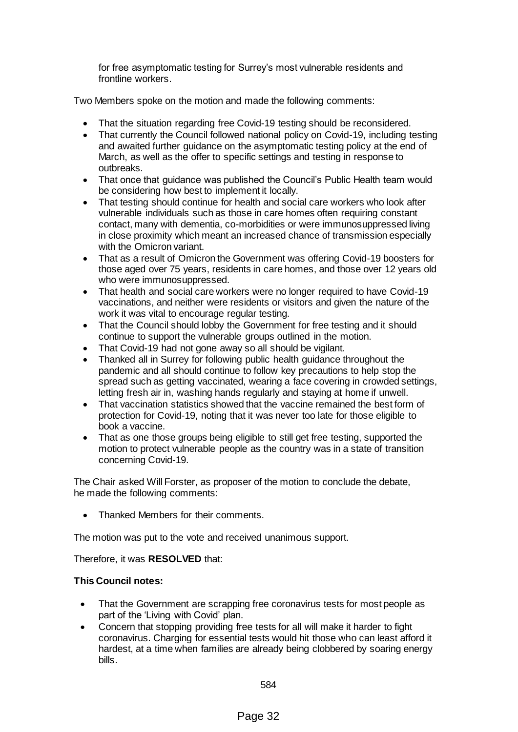for free asymptomatic testing for Surrey's most vulnerable residents and frontline workers.

Two Members spoke on the motion and made the following comments:

- That the situation regarding free Covid-19 testing should be reconsidered.
- That currently the Council followed national policy on Covid-19, including testing and awaited further guidance on the asymptomatic testing policy at the end of March, as well as the offer to specific settings and testing in response to outbreaks.
- That once that guidance was published the Council's Public Health team would be considering how best to implement it locally.
- That testing should continue for health and social care workers who look after vulnerable individuals such as those in care homes often requiring constant contact, many with dementia, co-morbidities or were immunosuppressed living in close proximity which meant an increased chance of transmission especially with the Omicron variant.
- That as a result of Omicron the Government was offering Covid-19 boosters for those aged over 75 years, residents in care homes, and those over 12 years old who were immunosuppressed.
- That health and social care workers were no longer required to have Covid-19 vaccinations, and neither were residents or visitors and given the nature of the work it was vital to encourage regular testing.
- That the Council should lobby the Government for free testing and it should continue to support the vulnerable groups outlined in the motion.
- That Covid-19 had not gone away so all should be vigilant.
- Thanked all in Surrey for following public health guidance throughout the pandemic and all should continue to follow key precautions to help stop the spread such as getting vaccinated, wearing a face covering in crowded settings, letting fresh air in, washing hands regularly and staying at home if unwell.
- That vaccination statistics showed that the vaccine remained the best form of protection for Covid-19, noting that it was never too late for those eligible to book a vaccine.
- That as one those groups being eligible to still get free testing, supported the motion to protect vulnerable people as the country was in a state of transition concerning Covid-19.

The Chair asked Will Forster, as proposer of the motion to conclude the debate, he made the following comments:

Thanked Members for their comments.

The motion was put to the vote and received unanimous support.

Therefore, it was **RESOLVED** that:

## **This Council notes:**

- That the Government are scrapping free coronavirus tests for most people as part of the 'Living with Covid' plan.
- Concern that stopping providing free tests for all will make it harder to fight coronavirus. Charging for essential tests would hit those who can least afford it hardest, at a time when families are already being clobbered by soaring energy bills.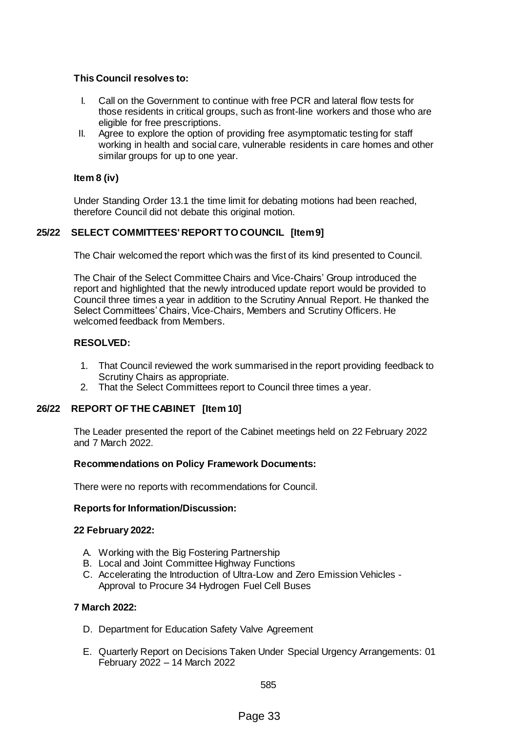## **This Council resolves to:**

- I. Call on the Government to continue with free PCR and lateral flow tests for those residents in critical groups, such as front-line workers and those who are eligible for free prescriptions.
- II. Agree to explore the option of providing free asymptomatic testing for staff working in health and social care, vulnerable residents in care homes and other similar groups for up to one year.

## **Item 8 (iv)**

Under Standing Order 13.1 the time limit for debating motions had been reached, therefore Council did not debate this original motion.

## **25/22 SELECT COMMITTEES' REPORT TO COUNCIL [Item 9]**

The Chair welcomed the report which was the first of its kind presented to Council.

The Chair of the Select Committee Chairs and Vice-Chairs' Group introduced the report and highlighted that the newly introduced update report would be provided to Council three times a year in addition to the Scrutiny Annual Report. He thanked the Select Committees' Chairs, Vice-Chairs, Members and Scrutiny Officers. He welcomed feedback from Members.

## **RESOLVED:**

- 1. That Council reviewed the work summarised in the report providing feedback to Scrutiny Chairs as appropriate.
- 2. That the Select Committees report to Council three times a year.

## **26/22 REPORT OF THE CABINET [Item 10]**

The Leader presented the report of the Cabinet meetings held on 22 February 2022 and 7 March 2022.

#### **Recommendations on Policy Framework Documents:**

There were no reports with recommendations for Council.

## **Reports for Information/Discussion:**

#### **22 February 2022:**

- A. Working with the Big Fostering Partnership
- B. Local and Joint Committee Highway Functions
- C. Accelerating the Introduction of Ultra-Low and Zero Emission Vehicles Approval to Procure 34 Hydrogen Fuel Cell Buses

## **7 March 2022:**

- D. Department for Education Safety Valve Agreement
- E. Quarterly Report on Decisions Taken Under Special Urgency Arrangements: 01 February 2022 – 14 March 2022